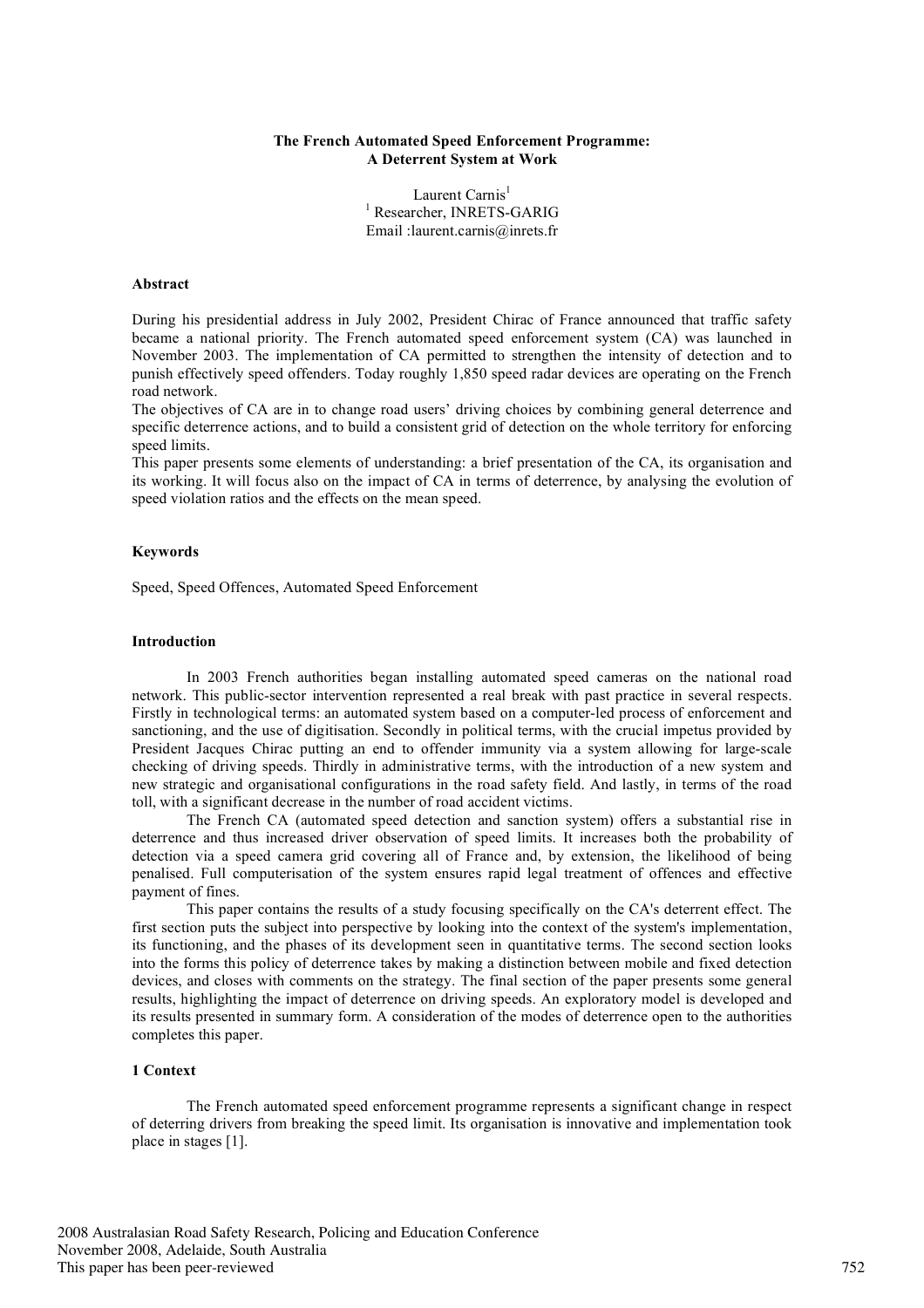### **The French Automated Speed Enforcement Programme: A Deterrent System at Work**

Laurent Carnis<sup>1</sup> <sup>1</sup> Researcher, INRETS-GARIG Email :laurent.carnis@inrets.fr

## **Abstract**

During his presidential address in July 2002, President Chirac of France announced that traffic safety became a national priority. The French automated speed enforcement system (CA) was launched in November 2003. The implementation of CA permitted to strengthen the intensity of detection and to punish effectively speed offenders. Today roughly 1,850 speed radar devices are operating on the French road network.

The objectives of CA are in to change road users' driving choices by combining general deterrence and specific deterrence actions, and to build a consistent grid of detection on the whole territory for enforcing speed limits.

This paper presents some elements of understanding: a brief presentation of the CA, its organisation and its working. It will focus also on the impact of CA in terms of deterrence, by analysing the evolution of speed violation ratios and the effects on the mean speed.

## **Keywords**

Speed, Speed Offences, Automated Speed Enforcement

### **Introduction**

In 2003 French authorities began installing automated speed cameras on the national road network. This public-sector intervention represented a real break with past practice in several respects. Firstly in technological terms: an automated system based on a computer-led process of enforcement and sanctioning, and the use of digitisation. Secondly in political terms, with the crucial impetus provided by President Jacques Chirac putting an end to offender immunity via a system allowing for large-scale checking of driving speeds. Thirdly in administrative terms, with the introduction of a new system and new strategic and organisational configurations in the road safety field. And lastly, in terms of the road toll, with a significant decrease in the number of road accident victims.

The French CA (automated speed detection and sanction system) offers a substantial rise in deterrence and thus increased driver observation of speed limits. It increases both the probability of detection via a speed camera grid covering all of France and, by extension, the likelihood of being penalised. Full computerisation of the system ensures rapid legal treatment of offences and effective payment of fines.

This paper contains the results of a study focusing specifically on the CA's deterrent effect. The first section puts the subject into perspective by looking into the context of the system's implementation, its functioning, and the phases of its development seen in quantitative terms. The second section looks into the forms this policy of deterrence takes by making a distinction between mobile and fixed detection devices, and closes with comments on the strategy. The final section of the paper presents some general results, highlighting the impact of deterrence on driving speeds. An exploratory model is developed and its results presented in summary form. A consideration of the modes of deterrence open to the authorities completes this paper.

#### **1 Context**

The French automated speed enforcement programme represents a significant change in respect of deterring drivers from breaking the speed limit. Its organisation is innovative and implementation took place in stages [1].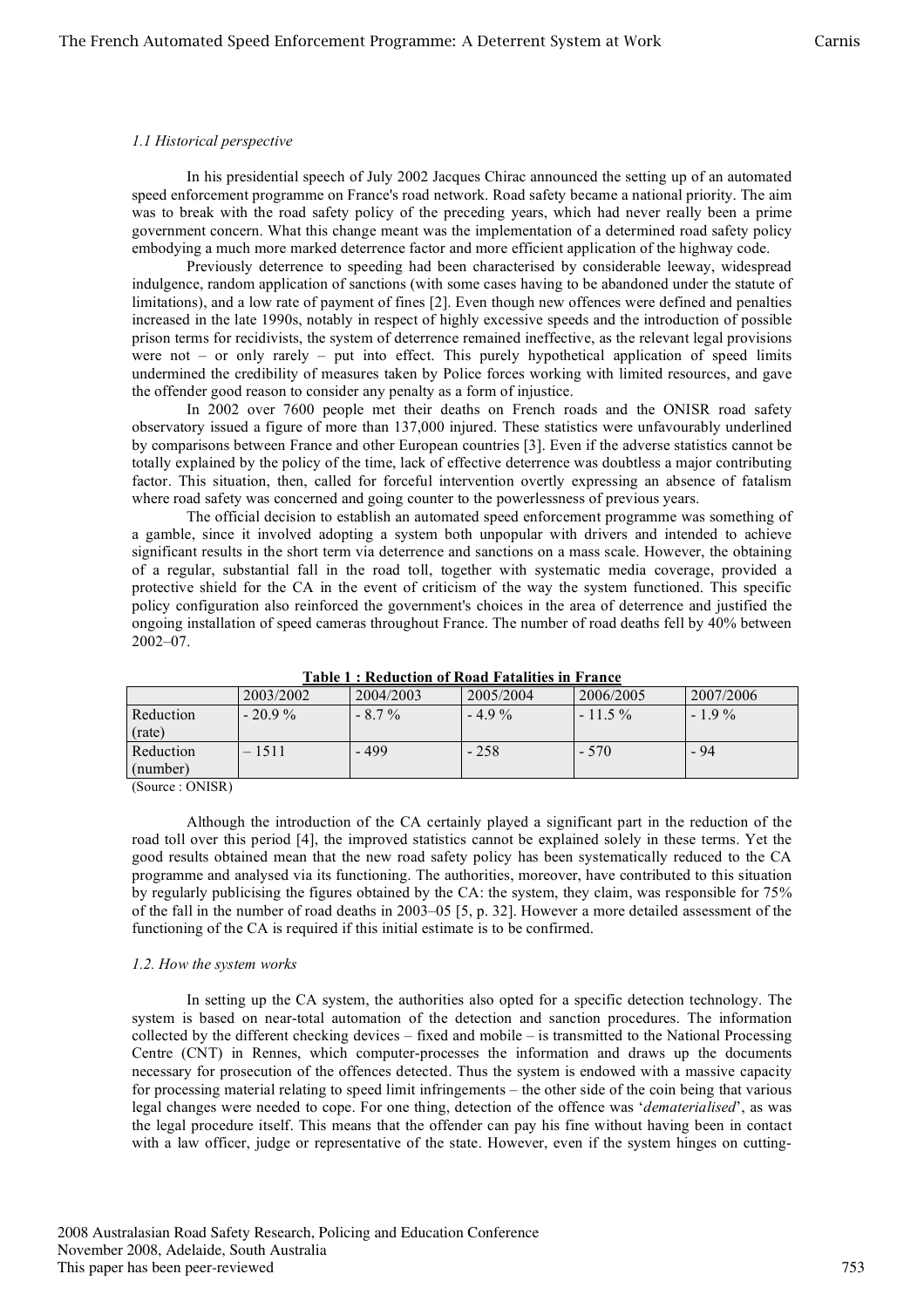## *1.1 Historical perspective*

In his presidential speech of July 2002 Jacques Chirac announced the setting up of an automated speed enforcement programme on France's road network. Road safety became a national priority. The aim was to break with the road safety policy of the preceding years, which had never really been a prime government concern. What this change meant was the implementation of a determined road safety policy embodying a much more marked deterrence factor and more efficient application of the highway code.

Previously deterrence to speeding had been characterised by considerable leeway, widespread indulgence, random application of sanctions (with some cases having to be abandoned under the statute of limitations), and a low rate of payment of fines [2]. Even though new offences were defined and penalties increased in the late 1990s, notably in respect of highly excessive speeds and the introduction of possible prison terms for recidivists, the system of deterrence remained ineffective, as the relevant legal provisions were not – or only rarely – put into effect. This purely hypothetical application of speed limits undermined the credibility of measures taken by Police forces working with limited resources, and gave the offender good reason to consider any penalty as a form of injustice.

In 2002 over 7600 people met their deaths on French roads and the ONISR road safety observatory issued a figure of more than 137,000 injured. These statistics were unfavourably underlined by comparisons between France and other European countries [3]. Even if the adverse statistics cannot be totally explained by the policy of the time, lack of effective deterrence was doubtless a major contributing factor. This situation, then, called for forceful intervention overtly expressing an absence of fatalism where road safety was concerned and going counter to the powerlessness of previous years.

The official decision to establish an automated speed enforcement programme was something of a gamble, since it involved adopting a system both unpopular with drivers and intended to achieve significant results in the short term via deterrence and sanctions on a mass scale. However, the obtaining of a regular, substantial fall in the road toll, together with systematic media coverage, provided a protective shield for the CA in the event of criticism of the way the system functioned. This specific policy configuration also reinforced the government's choices in the area of deterrence and justified the ongoing installation of speed cameras throughout France. The number of road deaths fell by 40% between 2002–07.

| TADIC T . INCURCIION OF INDAW FAIAMING IN FTANCO |           |           |           |           |           |
|--------------------------------------------------|-----------|-----------|-----------|-----------|-----------|
|                                                  | 2003/2002 | 2004/2003 | 2005/2004 | 2006/2005 | 2007/2006 |
| Reduction                                        | $-20.9\%$ | $-8.7\%$  | $-49\%$   | $-11.5\%$ | $-19\%$   |
| (rate)                                           |           |           |           |           |           |
| Reduction                                        | $-1511$   | - 499     | $-258$    | $-570$    | - 94      |
| (number)                                         |           |           |           |           |           |
| $\sim$<br>$\sim$ $\sim$ $\sim$ $\sim$ $\sim$     |           |           |           |           |           |

**Table 1 : Reduction of Road Fatalities in France**

(Source : ONISR)

Although the introduction of the CA certainly played a significant part in the reduction of the road toll over this period [4], the improved statistics cannot be explained solely in these terms. Yet the good results obtained mean that the new road safety policy has been systematically reduced to the CA programme and analysed via its functioning. The authorities, moreover, have contributed to this situation by regularly publicising the figures obtained by the CA: the system, they claim, was responsible for 75% of the fall in the number of road deaths in 2003–05 [5, p. 32]. However a more detailed assessment of the functioning of the CA is required if this initial estimate is to be confirmed.

# *1.2. How the system works*

In setting up the CA system, the authorities also opted for a specific detection technology. The system is based on near-total automation of the detection and sanction procedures. The information collected by the different checking devices – fixed and mobile – is transmitted to the National Processing Centre (CNT) in Rennes, which computer-processes the information and draws up the documents necessary for prosecution of the offences detected. Thus the system is endowed with a massive capacity for processing material relating to speed limit infringements – the other side of the coin being that various legal changes were needed to cope. For one thing, detection of the offence was '*dematerialised*', as was the legal procedure itself. This means that the offender can pay his fine without having been in contact with a law officer, judge or representative of the state. However, even if the system hinges on cutting-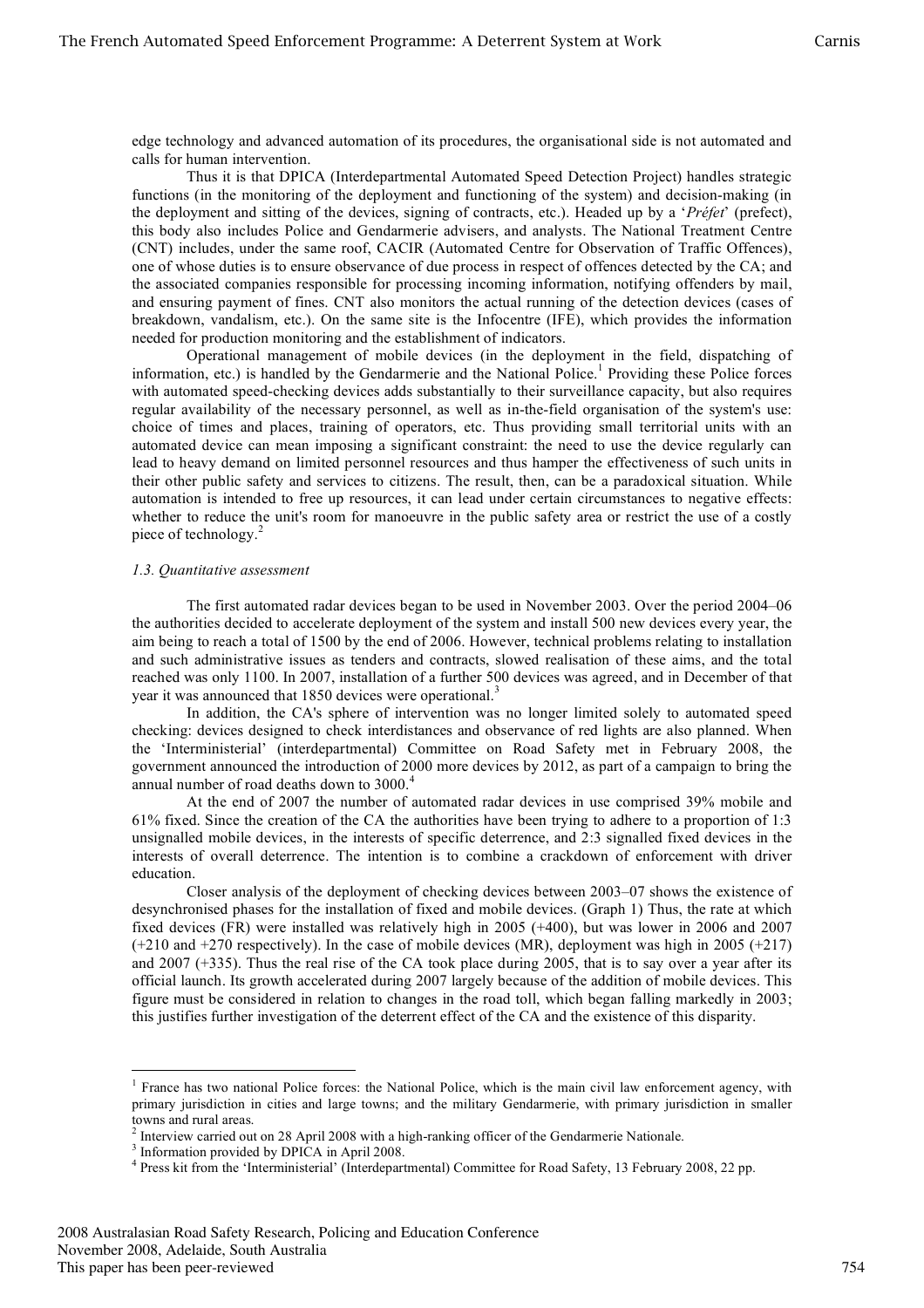edge technology and advanced automation of its procedures, the organisational side is not automated and calls for human intervention.

Thus it is that DPICA (Interdepartmental Automated Speed Detection Project) handles strategic functions (in the monitoring of the deployment and functioning of the system) and decision-making (in the deployment and sitting of the devices, signing of contracts, etc.). Headed up by a '*Préfet*' (prefect), this body also includes Police and Gendarmerie advisers, and analysts. The National Treatment Centre (CNT) includes, under the same roof, CACIR (Automated Centre for Observation of Traffic Offences), one of whose duties is to ensure observance of due process in respect of offences detected by the CA; and the associated companies responsible for processing incoming information, notifying offenders by mail, and ensuring payment of fines. CNT also monitors the actual running of the detection devices (cases of breakdown, vandalism, etc.). On the same site is the Infocentre (IFE), which provides the information needed for production monitoring and the establishment of indicators.

Operational management of mobile devices (in the deployment in the field, dispatching of information, etc.) is handled by the Gendarmerie and the National Police.<sup>1</sup> Providing these Police forces with automated speed-checking devices adds substantially to their surveillance capacity, but also requires regular availability of the necessary personnel, as well as in-the-field organisation of the system's use: choice of times and places, training of operators, etc. Thus providing small territorial units with an automated device can mean imposing a significant constraint: the need to use the device regularly can lead to heavy demand on limited personnel resources and thus hamper the effectiveness of such units in their other public safety and services to citizens. The result, then, can be a paradoxical situation. While automation is intended to free up resources, it can lead under certain circumstances to negative effects: whether to reduce the unit's room for manoeuvre in the public safety area or restrict the use of a costly piece of technology.<sup>2</sup>

### *1.3. Quantitative assessment*

The first automated radar devices began to be used in November 2003. Over the period 2004–06 the authorities decided to accelerate deployment of the system and install 500 new devices every year, the aim being to reach a total of 1500 by the end of 2006. However, technical problems relating to installation and such administrative issues as tenders and contracts, slowed realisation of these aims, and the total reached was only 1100. In 2007, installation of a further 500 devices was agreed, and in December of that year it was announced that 1850 devices were operational.<sup>3</sup>

In addition, the CA's sphere of intervention was no longer limited solely to automated speed checking: devices designed to check interdistances and observance of red lights are also planned. When the 'Interministerial' (interdepartmental) Committee on Road Safety met in February 2008, the government announced the introduction of 2000 more devices by 2012, as part of a campaign to bring the annual number of road deaths down to 3000. 4

At the end of 2007 the number of automated radar devices in use comprised 39% mobile and 61% fixed. Since the creation of the CA the authorities have been trying to adhere to a proportion of 1:3 unsignalled mobile devices, in the interests of specific deterrence, and 2:3 signalled fixed devices in the interests of overall deterrence. The intention is to combine a crackdown of enforcement with driver education.

Closer analysis of the deployment of checking devices between 2003–07 shows the existence of desynchronised phases for the installation of fixed and mobile devices. (Graph 1) Thus, the rate at which fixed devices (FR) were installed was relatively high in 2005 (+400), but was lower in 2006 and 2007 (+210 and +270 respectively). In the case of mobile devices (MR), deployment was high in 2005 (+217) and 2007 (+335). Thus the real rise of the CA took place during 2005, that is to say over a year after its official launch. Its growth accelerated during 2007 largely because of the addition of mobile devices. This figure must be considered in relation to changes in the road toll, which began falling markedly in 2003; this justifies further investigation of the deterrent effect of the CA and the existence of this disparity.

<sup>&</sup>lt;sup>1</sup> France has two national Police forces: the National Police, which is the main civil law enforcement agency, with primary jurisdiction in cities and large towns; and the military Gendarmerie, with primary jurisdiction in smaller

<sup>&</sup>lt;sup>2</sup> Interview carried out on 28 April 2008 with a high-ranking officer of the Gendarmerie Nationale.<br><sup>3</sup> Information provided by DPICA in April 2008.<br><sup>4</sup> Press kit from the 'Interministerial' (Interdepartmental) Committee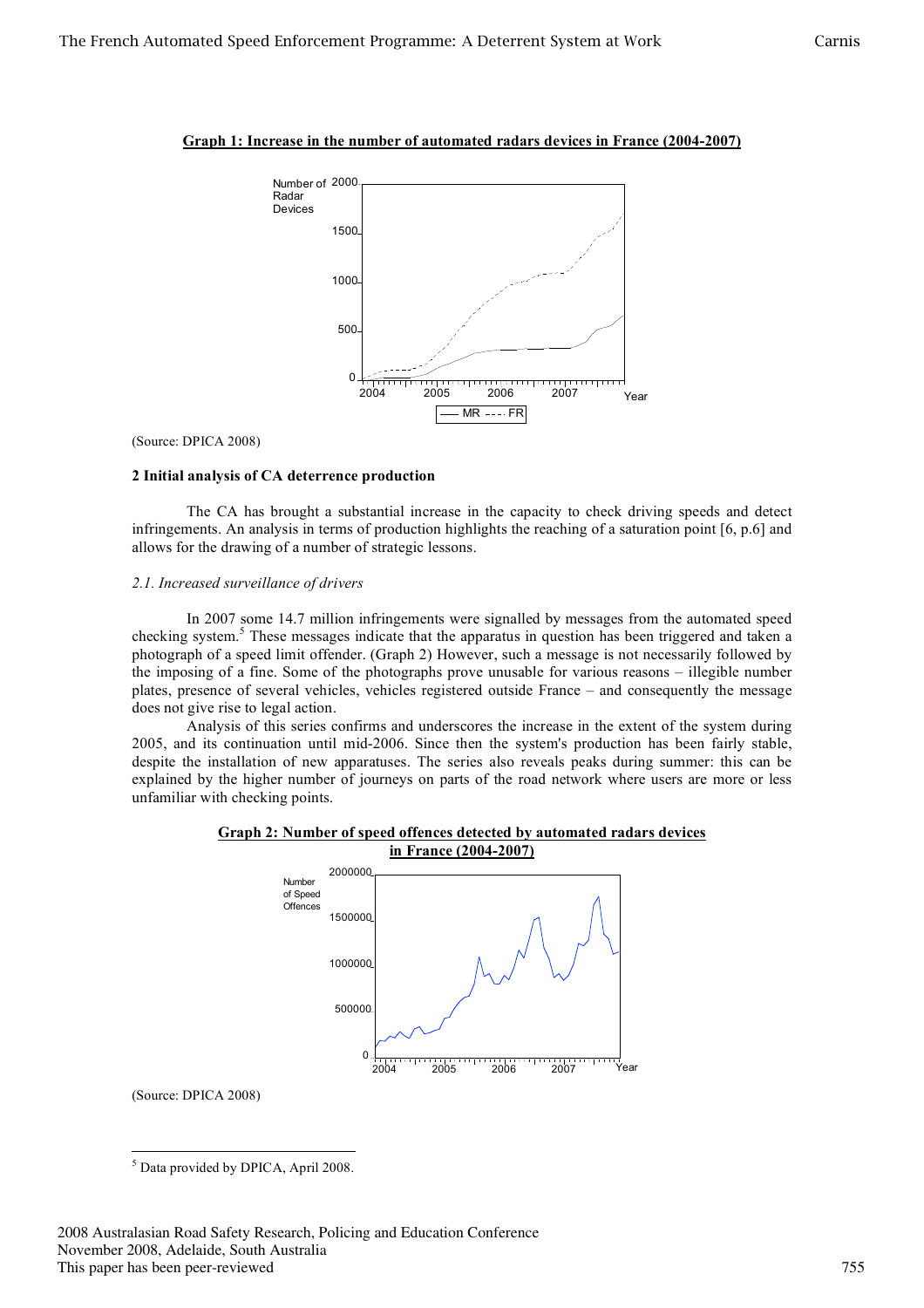



(Source: DPICA 2008)

## **2 Initial analysis of CA deterrence production**

The CA has brought a substantial increase in the capacity to check driving speeds and detect infringements. An analysis in terms of production highlights the reaching of a saturation point [6, p.6] and allows for the drawing of a number of strategic lessons.

## *2.1. Increased surveillance of drivers*

In 2007 some 14.7 million infringements were signalled by messages from the automated speed checking system. <sup>5</sup> These messages indicate that the apparatus in question has been triggered and taken a photograph of a speed limit offender. (Graph 2) However, such a message is not necessarily followed by the imposing of a fine. Some of the photographs prove unusable for various reasons – illegible number plates, presence of several vehicles, vehicles registered outside France – and consequently the message does not give rise to legal action.

Analysis of this series confirms and underscores the increase in the extent of the system during 2005, and its continuation until mid-2006. Since then the system's production has been fairly stable, despite the installation of new apparatuses. The series also reveals peaks during summer: this can be explained by the higher number of journeys on parts of the road network where users are more or less unfamiliar with checking points.





(Source: DPICA 2008)

 <sup>5</sup> Data provided by DPICA, April 2008.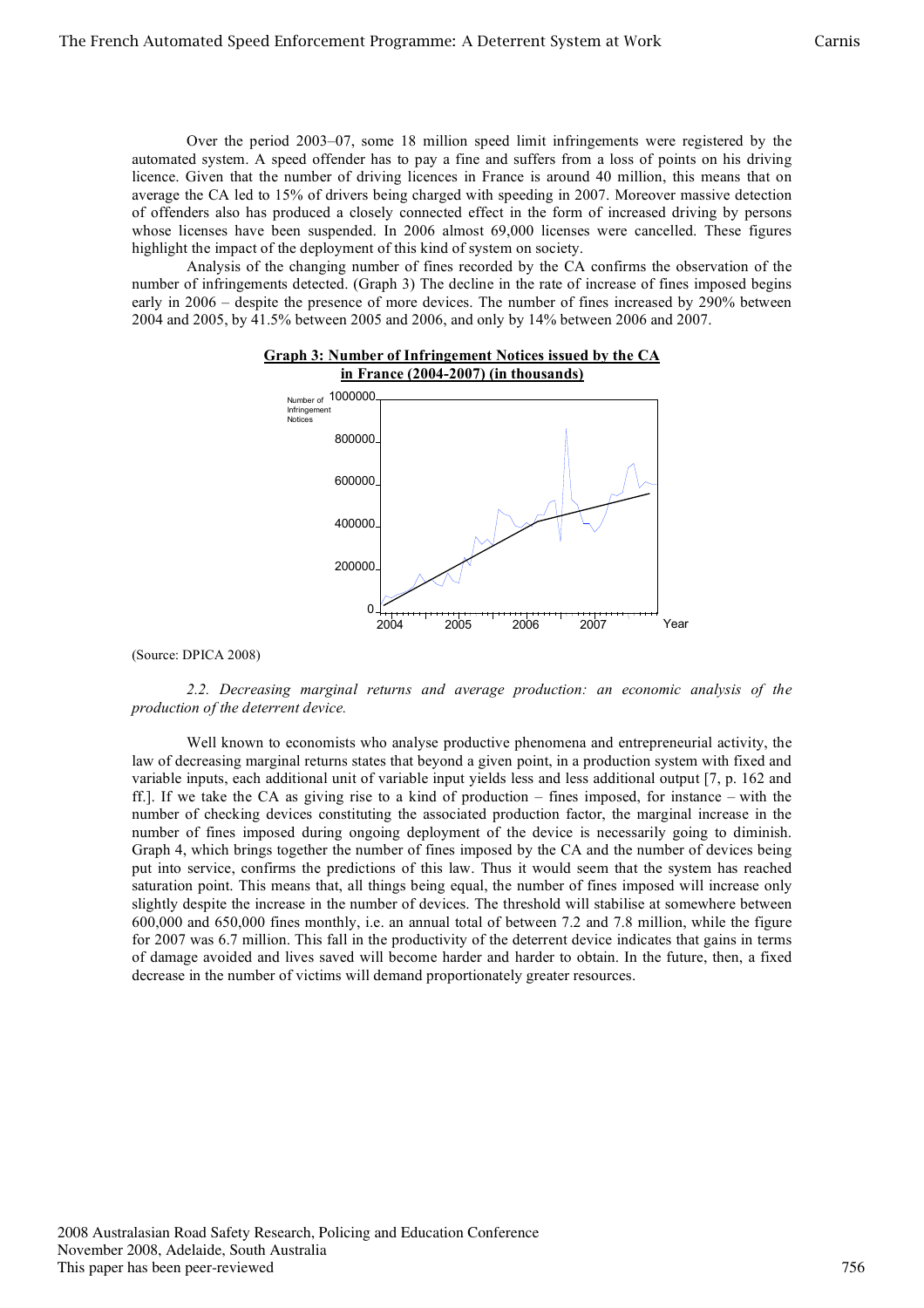Over the period 2003–07, some 18 million speed limit infringements were registered by the automated system. A speed offender has to pay a fine and suffers from a loss of points on his driving licence. Given that the number of driving licences in France is around 40 million, this means that on average the CA led to 15% of drivers being charged with speeding in 2007. Moreover massive detection of offenders also has produced a closely connected effect in the form of increased driving by persons whose licenses have been suspended. In 2006 almost 69,000 licenses were cancelled. These figures highlight the impact of the deployment of this kind of system on society.

Analysis of the changing number of fines recorded by the CA confirms the observation of the number of infringements detected. (Graph 3) The decline in the rate of increase of fines imposed begins early in 2006 – despite the presence of more devices. The number of fines increased by 290% between 2004 and 2005, by 41.5% between 2005 and 2006, and only by 14% between 2006 and 2007.

**Graph 3: Number of Infringement Notices issued by the CA**



(Source: DPICA 2008)

*2.2. Decreasing marginal returns and average production: an economic analysis of the production of the deterrent device.*

Well known to economists who analyse productive phenomena and entrepreneurial activity, the law of decreasing marginal returns states that beyond a given point, in a production system with fixed and variable inputs, each additional unit of variable input yields less and less additional output [7, p. 162 and ff.]. If we take the CA as giving rise to a kind of production – fines imposed, for instance – with the number of checking devices constituting the associated production factor, the marginal increase in the number of fines imposed during ongoing deployment of the device is necessarily going to diminish. Graph 4, which brings together the number of fines imposed by the CA and the number of devices being put into service, confirms the predictions of this law. Thus it would seem that the system has reached saturation point. This means that, all things being equal, the number of fines imposed will increase only slightly despite the increase in the number of devices. The threshold will stabilise at somewhere between 600,000 and 650,000 fines monthly, i.e. an annual total of between 7.2 and 7.8 million, while the figure for 2007 was 6.7 million. This fall in the productivity of the deterrent device indicates that gains in terms of damage avoided and lives saved will become harder and harder to obtain. In the future, then, a fixed decrease in the number of victims will demand proportionately greater resources.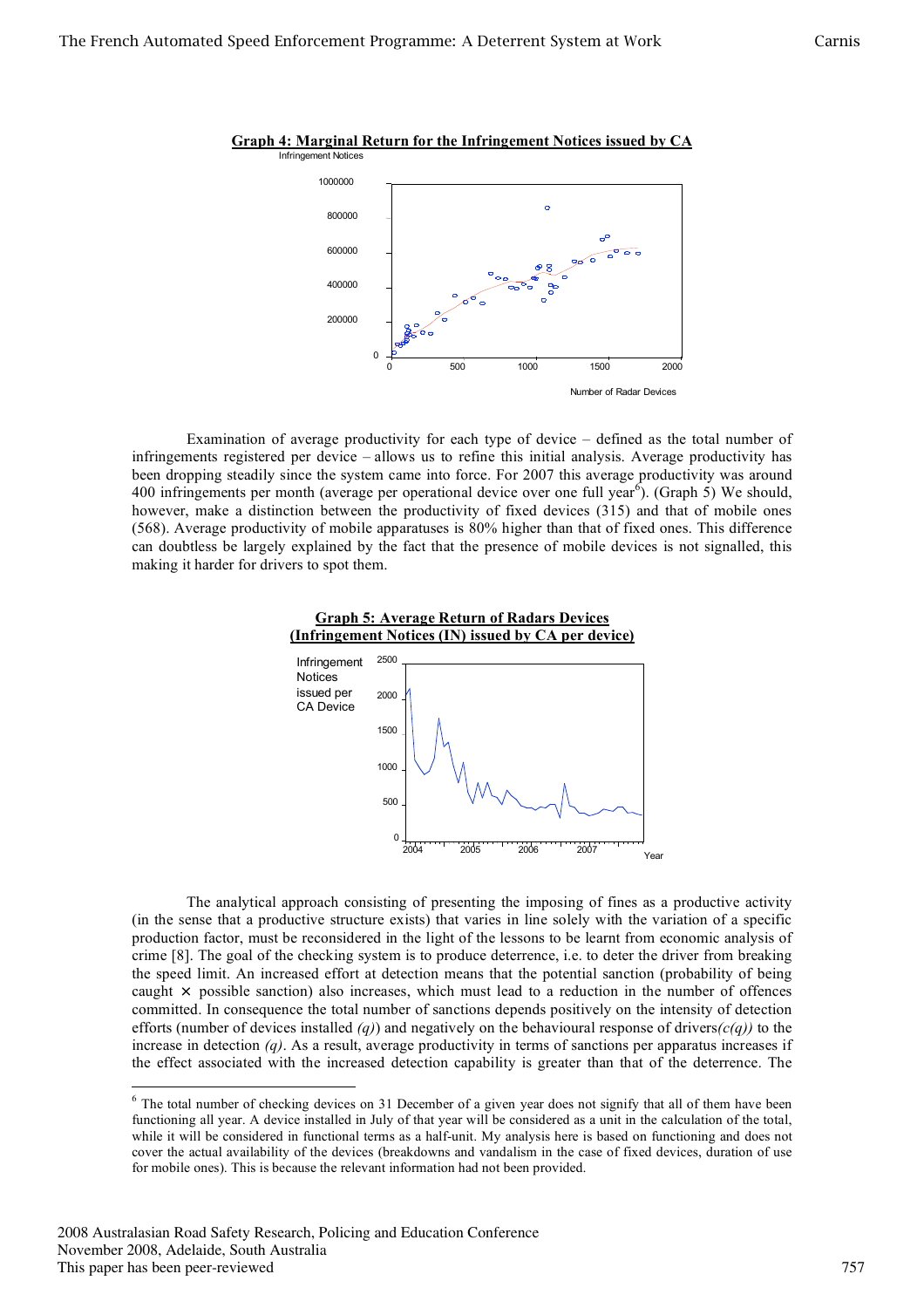

**Graph 4: Marginal Return for the Infringement Notices issued by CA**

Examination of average productivity for each type of device – defined as the total number of infringements registered per device – allows us to refine this initial analysis. Average productivity has been dropping steadily since the system came into force. For 2007 this average productivity was around 400 infringements per month (average per operational device over one full year<sup>6</sup>). (Graph 5) We should, however, make a distinction between the productivity of fixed devices (315) and that of mobile ones (568). Average productivity of mobile apparatuses is 80% higher than that of fixed ones. This difference can doubtless be largely explained by the fact that the presence of mobile devices is not signalled, this making it harder for drivers to spot them.





The analytical approach consisting of presenting the imposing of fines as a productive activity (in the sense that a productive structure exists) that varies in line solely with the variation of a specific production factor, must be reconsidered in the light of the lessons to be learnt from economic analysis of crime [8]. The goal of the checking system is to produce deterrence, i.e. to deter the driver from breaking the speed limit. An increased effort at detection means that the potential sanction (probability of being caught  $\times$  possible sanction) also increases, which must lead to a reduction in the number of offences committed. In consequence the total number of sanctions depends positively on the intensity of detection efforts (number of devices installed *(q)*) and negatively on the behavioural response of drivers*(c(q))* to the increase in detection *(q)*. As a result, average productivity in terms of sanctions per apparatus increases if the effect associated with the increased detection capability is greater than that of the deterrence. The

<sup>&</sup>lt;sup>6</sup> The total number of checking devices on 31 December of a given year does not signify that all of them have been functioning all year. A device installed in July of that year will be considered as a unit in the calculation of the total, while it will be considered in functional terms as a half-unit. My analysis here is based on functioning and does not cover the actual availability of the devices (breakdowns and vandalism in the case of fixed devices, duration of use for mobile ones). This is because the relevant information had not been provided.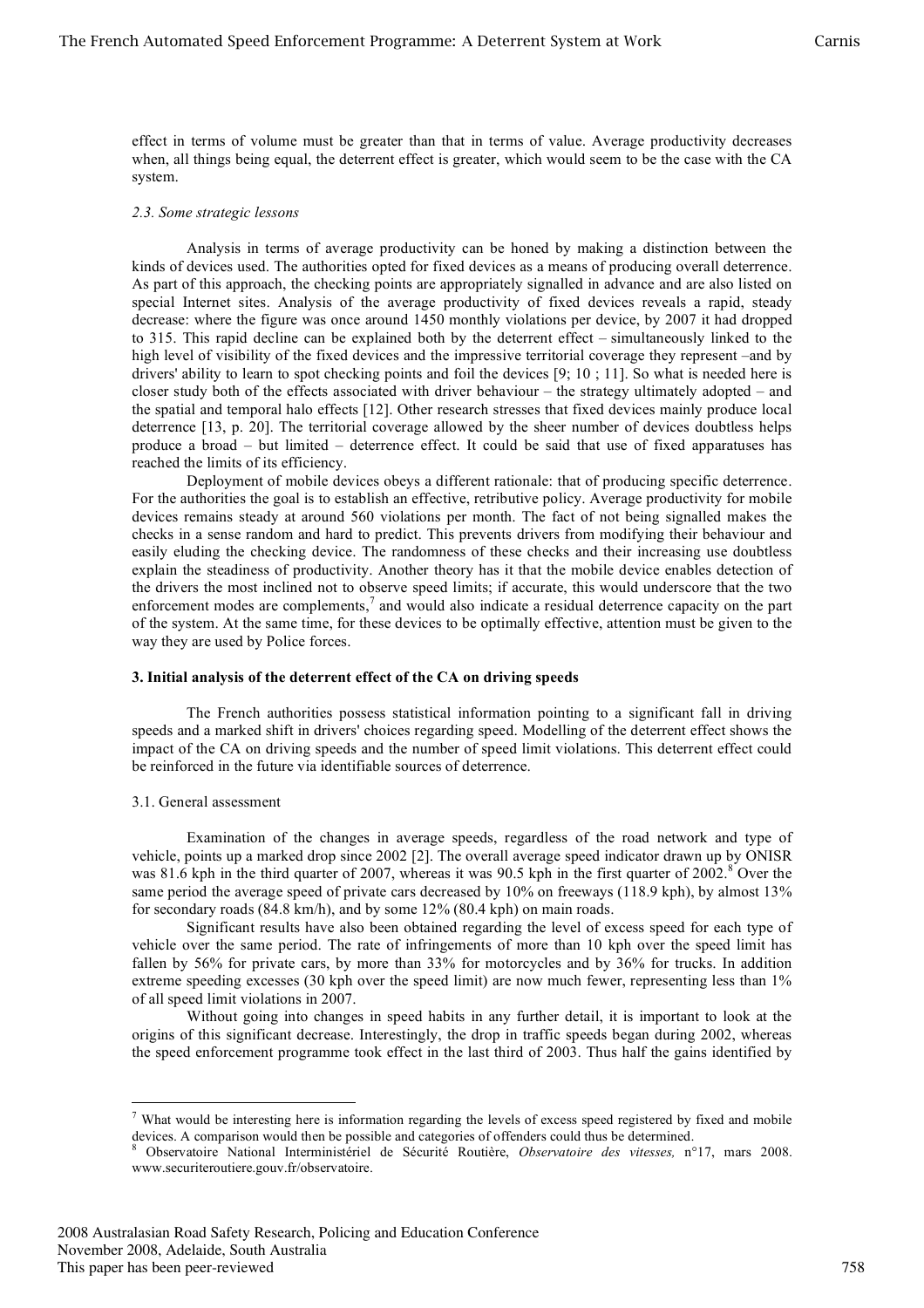effect in terms of volume must be greater than that in terms of value. Average productivity decreases when, all things being equal, the deterrent effect is greater, which would seem to be the case with the CA system.

#### *2.3. Some strategic lessons*

Analysis in terms of average productivity can be honed by making a distinction between the kinds of devices used. The authorities opted for fixed devices as a means of producing overall deterrence. As part of this approach, the checking points are appropriately signalled in advance and are also listed on special Internet sites. Analysis of the average productivity of fixed devices reveals a rapid, steady decrease: where the figure was once around 1450 monthly violations per device, by 2007 it had dropped to 315. This rapid decline can be explained both by the deterrent effect – simultaneously linked to the high level of visibility of the fixed devices and the impressive territorial coverage they represent –and by drivers' ability to learn to spot checking points and foil the devices [9; 10 ; 11]. So what is needed here is closer study both of the effects associated with driver behaviour – the strategy ultimately adopted – and the spatial and temporal halo effects [12]. Other research stresses that fixed devices mainly produce local deterrence [13, p. 20]. The territorial coverage allowed by the sheer number of devices doubtless helps produce a broad – but limited – deterrence effect. It could be said that use of fixed apparatuses has reached the limits of its efficiency.

Deployment of mobile devices obeys a different rationale: that of producing specific deterrence. For the authorities the goal is to establish an effective, retributive policy. Average productivity for mobile devices remains steady at around 560 violations per month. The fact of not being signalled makes the checks in a sense random and hard to predict. This prevents drivers from modifying their behaviour and easily eluding the checking device. The randomness of these checks and their increasing use doubtless explain the steadiness of productivity. Another theory has it that the mobile device enables detection of the drivers the most inclined not to observe speed limits; if accurate, this would underscore that the two enforcement modes are complements,<sup>7</sup> and would also indicate a residual deterrence capacity on the part of the system. At the same time, for these devices to be optimally effective, attention must be given to the way they are used by Police forces.

### **3. Initial analysis of the deterrent effect of the CA on driving speeds**

The French authorities possess statistical information pointing to a significant fall in driving speeds and a marked shift in drivers' choices regarding speed. Modelling of the deterrent effect shows the impact of the CA on driving speeds and the number of speed limit violations. This deterrent effect could be reinforced in the future via identifiable sources of deterrence.

### 3.1. General assessment

Examination of the changes in average speeds, regardless of the road network and type of vehicle, points up a marked drop since 2002 [2]. The overall average speed indicator drawn up by ONISR was 81.6 kph in the third quarter of 2007, whereas it was 90.5 kph in the first quarter of 2002.<sup>8</sup> Over the same period the average speed of private cars decreased by 10% on freeways (118.9 kph), by almost 13% for secondary roads (84.8 km/h), and by some 12% (80.4 kph) on main roads.

Significant results have also been obtained regarding the level of excess speed for each type of vehicle over the same period. The rate of infringements of more than 10 kph over the speed limit has fallen by 56% for private cars, by more than 33% for motorcycles and by 36% for trucks. In addition extreme speeding excesses (30 kph over the speed limit) are now much fewer, representing less than 1% of all speed limit violations in 2007.

Without going into changes in speed habits in any further detail, it is important to look at the origins of this significant decrease. Interestingly, the drop in traffic speeds began during 2002, whereas the speed enforcement programme took effect in the last third of 2003. Thus half the gains identified by

 $<sup>7</sup>$  What would be interesting here is information regarding the levels of excess speed registered by fixed and mobile</sup> devices. A comparison would then be possible and categories of offenders could thus be determined.<br><sup>8</sup> Observatoire National Interministériel de Sécurité Routière, *Observatoire des vitesses*, n°17, mars 2008.

www.securiteroutiere.gouv.fr/observatoire.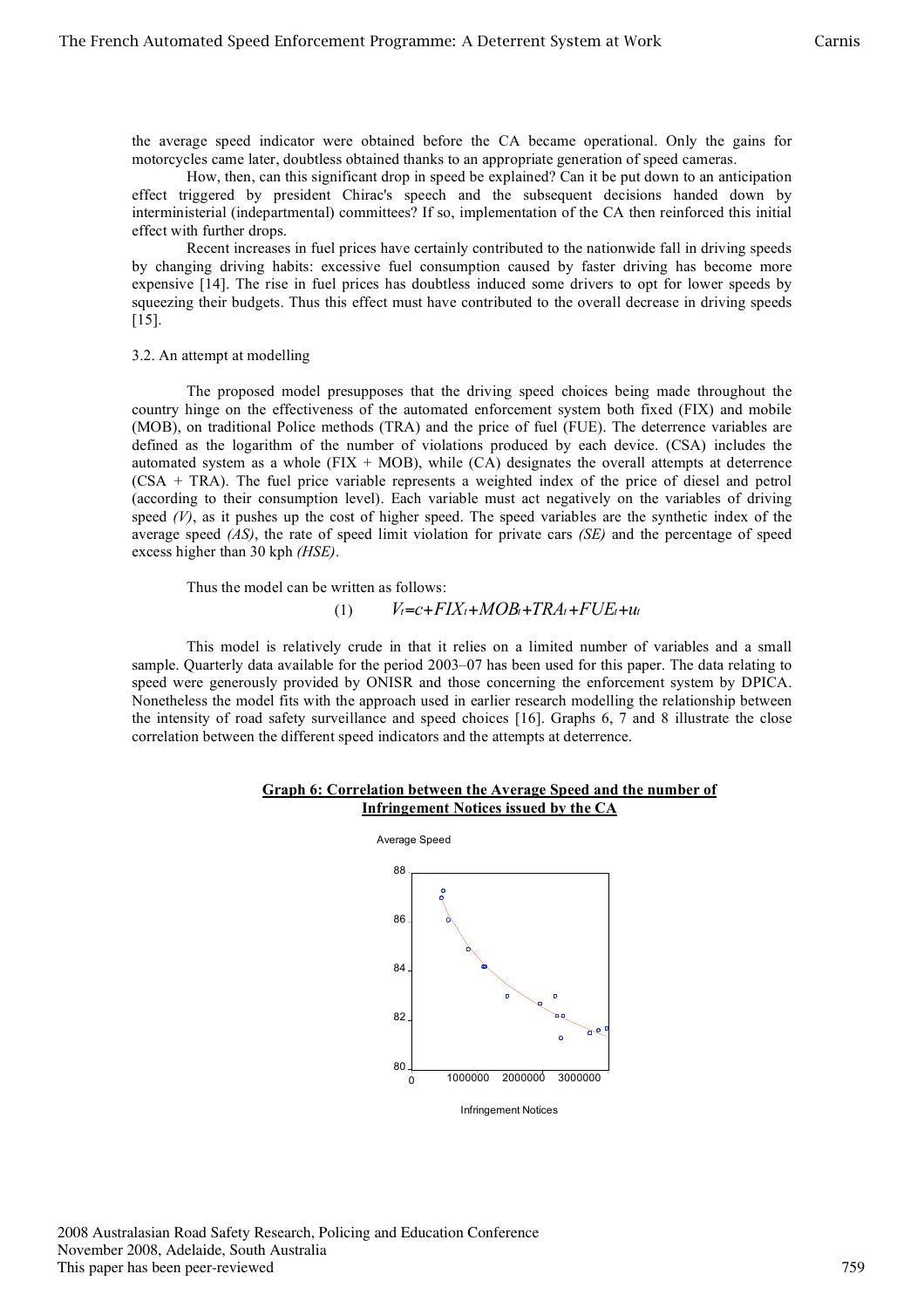the average speed indicator were obtained before the CA became operational. Only the gains for motorcycles came later, doubtless obtained thanks to an appropriate generation of speed cameras.

How, then, can this significant drop in speed be explained? Can it be put down to an anticipation effect triggered by president Chirac's speech and the subsequent decisions handed down by interministerial (indepartmental) committees? If so, implementation of the CA then reinforced this initial effect with further drops.

Recent increases in fuel prices have certainly contributed to the nationwide fall in driving speeds by changing driving habits: excessive fuel consumption caused by faster driving has become more expensive [14]. The rise in fuel prices has doubtless induced some drivers to opt for lower speeds by squeezing their budgets. Thus this effect must have contributed to the overall decrease in driving speeds [15].

#### 3.2. An attempt at modelling

The proposed model presupposes that the driving speed choices being made throughout the country hinge on the effectiveness of the automated enforcement system both fixed (FIX) and mobile (MOB), on traditional Police methods (TRA) and the price of fuel (FUE). The deterrence variables are defined as the logarithm of the number of violations produced by each device. (CSA) includes the automated system as a whole ( $FIX + MOB$ ), while (CA) designates the overall attempts at deterrence (CSA + TRA). The fuel price variable represents a weighted index of the price of diesel and petrol (according to their consumption level). Each variable must act negatively on the variables of driving speed  $(V)$ , as it pushes up the cost of higher speed. The speed variables are the synthetic index of the average speed *(AS)*, the rate of speed limit violation for private cars *(SE)* and the percentage of speed excess higher than 30 kph *(HSE)*.

Thus the model can be written as follows:

#### (1)  $V_t = c + FIX_t + MOB_t + TRA_t + FUE_t + u_t$

This model is relatively crude in that it relies on a limited number of variables and a small sample. Quarterly data available for the period 2003–07 has been used for this paper. The data relating to speed were generously provided by ONISR and those concerning the enforcement system by DPICA. Nonetheless the model fits with the approach used in earlier research modelling the relationship between the intensity of road safety surveillance and speed choices [16]. Graphs 6, 7 and 8 illustrate the close correlation between the different speed indicators and the attempts at deterrence.

### **Graph 6: Correlation between the Average Speed and the number of Infringement Notices issued by the CA**



This paper has been peer-reviewed November 2008, Adelaide, South Australia 2008 Australasian Road Safety Research, Policing and Education Conference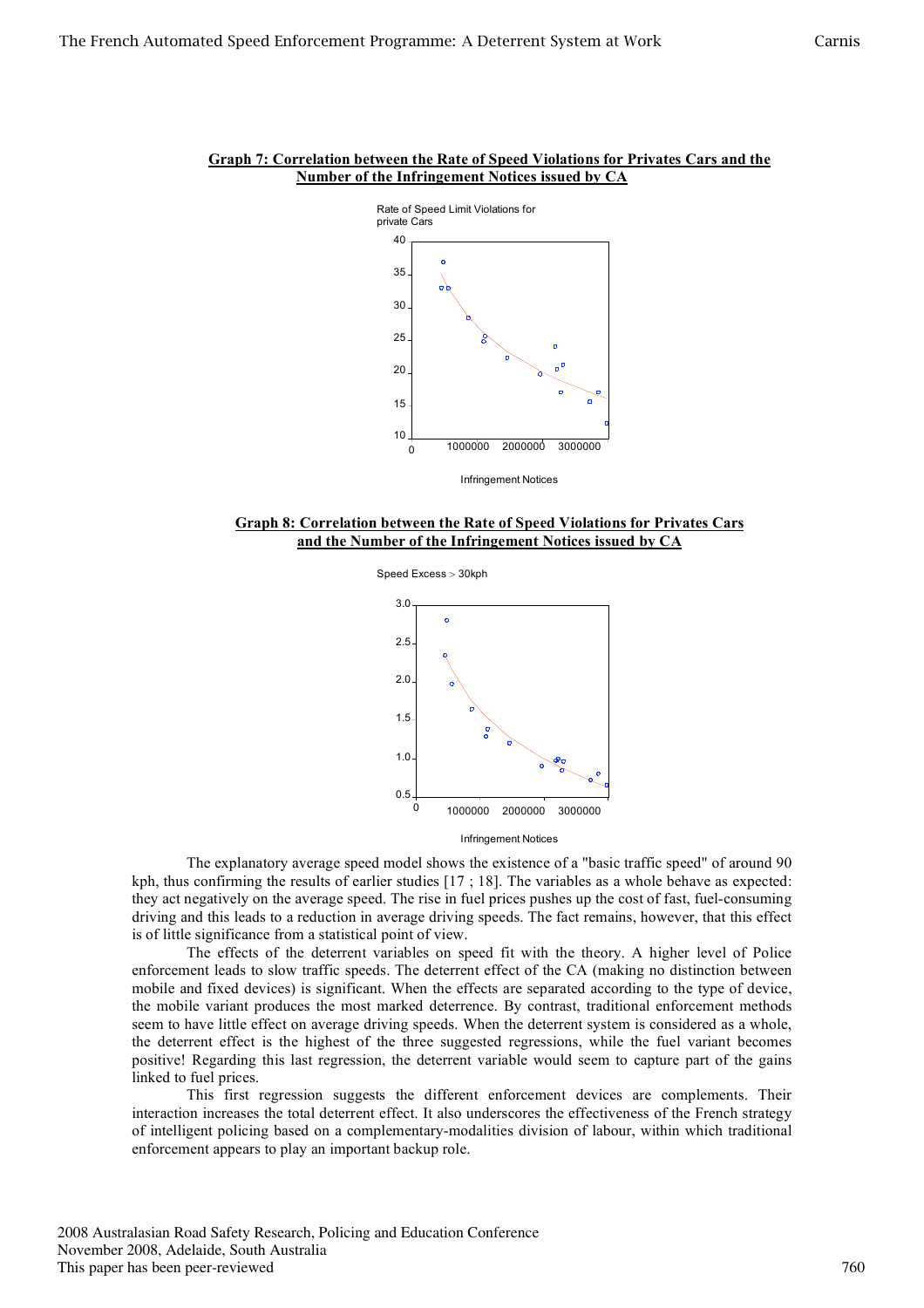

# **Graph 7: Correlation between the Rate of Speed Violations for Privates Cars and the Number of the Infringement Notices issued by CA**

Infringement Notices





Infringement Notices

The explanatory average speed model shows the existence of a "basic traffic speed" of around 90 kph, thus confirming the results of earlier studies [17 ; 18]. The variables as a whole behave as expected: they act negatively on the average speed. The rise in fuel prices pushes up the cost of fast, fuel-consuming driving and this leads to a reduction in average driving speeds. The fact remains, however, that this effect is of little significance from a statistical point of view.

The effects of the deterrent variables on speed fit with the theory. A higher level of Police enforcement leads to slow traffic speeds. The deterrent effect of the CA (making no distinction between mobile and fixed devices) is significant. When the effects are separated according to the type of device, the mobile variant produces the most marked deterrence. By contrast, traditional enforcement methods seem to have little effect on average driving speeds. When the deterrent system is considered as a whole, the deterrent effect is the highest of the three suggested regressions, while the fuel variant becomes positive! Regarding this last regression, the deterrent variable would seem to capture part of the gains linked to fuel prices.

This first regression suggests the different enforcement devices are complements. Their interaction increases the total deterrent effect. It also underscores the effectiveness of the French strategy of intelligent policing based on a complementary-modalities division of labour, within which traditional enforcement appears to play an important backup role.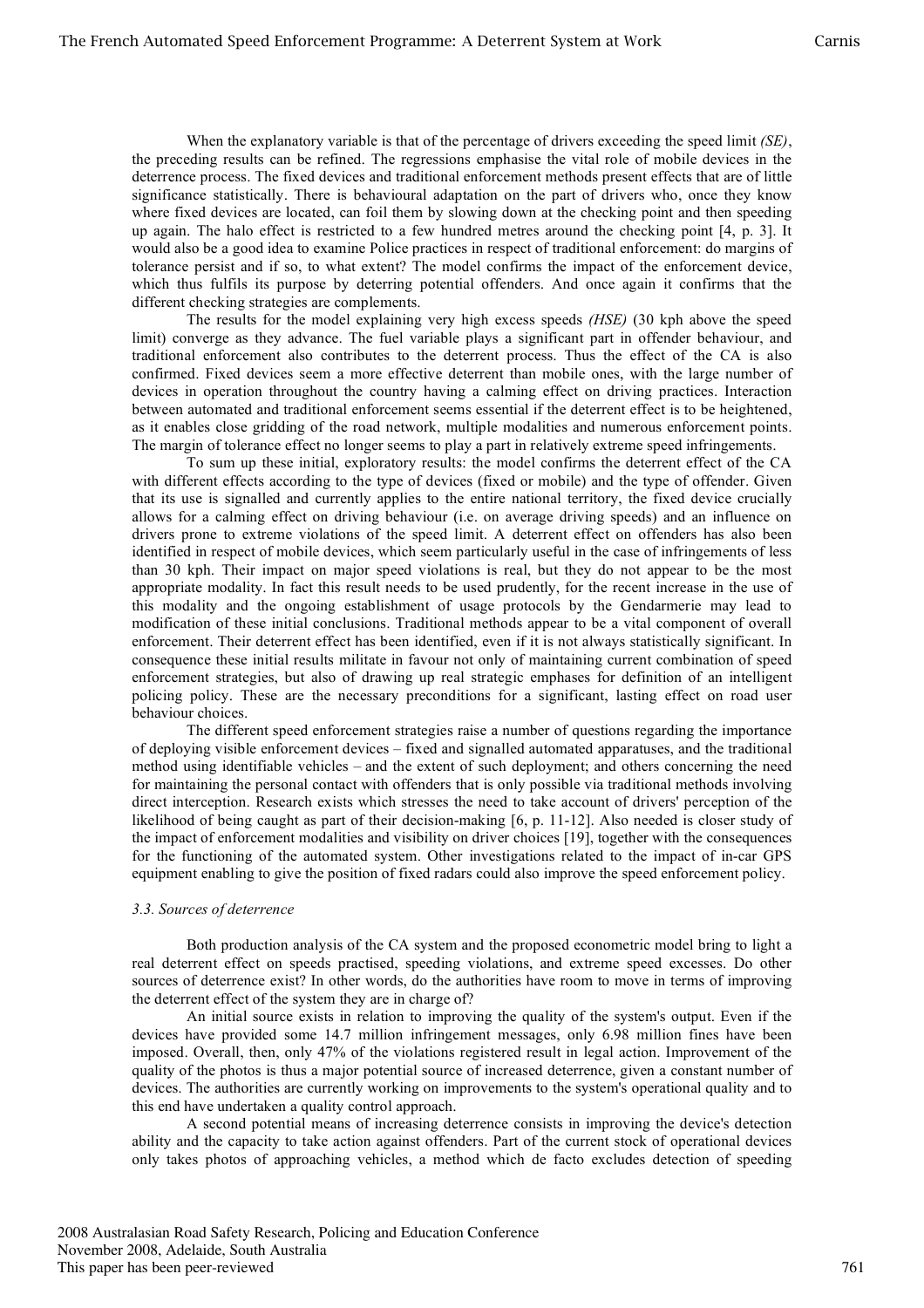When the explanatory variable is that of the percentage of drivers exceeding the speed limit *(SE)*, the preceding results can be refined. The regressions emphasise the vital role of mobile devices in the deterrence process. The fixed devices and traditional enforcement methods present effects that are of little significance statistically. There is behavioural adaptation on the part of drivers who, once they know where fixed devices are located, can foil them by slowing down at the checking point and then speeding up again. The halo effect is restricted to a few hundred metres around the checking point [4, p. 3]. It would also be a good idea to examine Police practices in respect of traditional enforcement: do margins of tolerance persist and if so, to what extent? The model confirms the impact of the enforcement device, which thus fulfils its purpose by deterring potential offenders. And once again it confirms that the different checking strategies are complements.

The results for the model explaining very high excess speeds *(HSE)* (30 kph above the speed limit) converge as they advance. The fuel variable plays a significant part in offender behaviour, and traditional enforcement also contributes to the deterrent process. Thus the effect of the CA is also confirmed. Fixed devices seem a more effective deterrent than mobile ones, with the large number of devices in operation throughout the country having a calming effect on driving practices. Interaction between automated and traditional enforcement seems essential if the deterrent effect is to be heightened, as it enables close gridding of the road network, multiple modalities and numerous enforcement points. The margin of tolerance effect no longer seems to play a part in relatively extreme speed infringements.

To sum up these initial, exploratory results: the model confirms the deterrent effect of the CA with different effects according to the type of devices (fixed or mobile) and the type of offender. Given that its use is signalled and currently applies to the entire national territory, the fixed device crucially allows for a calming effect on driving behaviour (i.e. on average driving speeds) and an influence on drivers prone to extreme violations of the speed limit. A deterrent effect on offenders has also been identified in respect of mobile devices, which seem particularly useful in the case of infringements of less than 30 kph. Their impact on major speed violations is real, but they do not appear to be the most appropriate modality. In fact this result needs to be used prudently, for the recent increase in the use of this modality and the ongoing establishment of usage protocols by the Gendarmerie may lead to modification of these initial conclusions. Traditional methods appear to be a vital component of overall enforcement. Their deterrent effect has been identified, even if it is not always statistically significant. In consequence these initial results militate in favour not only of maintaining current combination of speed enforcement strategies, but also of drawing up real strategic emphases for definition of an intelligent policing policy. These are the necessary preconditions for a significant, lasting effect on road user behaviour choices.

The different speed enforcement strategies raise a number of questions regarding the importance of deploying visible enforcement devices – fixed and signalled automated apparatuses, and the traditional method using identifiable vehicles – and the extent of such deployment; and others concerning the need for maintaining the personal contact with offenders that is only possible via traditional methods involving direct interception. Research exists which stresses the need to take account of drivers' perception of the likelihood of being caught as part of their decision-making [6, p. 11-12]. Also needed is closer study of the impact of enforcement modalities and visibility on driver choices [19], together with the consequences for the functioning of the automated system. Other investigations related to the impact of in-car GPS equipment enabling to give the position of fixed radars could also improve the speed enforcement policy.

#### *3.3. Sources of deterrence*

Both production analysis of the CA system and the proposed econometric model bring to light a real deterrent effect on speeds practised, speeding violations, and extreme speed excesses. Do other sources of deterrence exist? In other words, do the authorities have room to move in terms of improving the deterrent effect of the system they are in charge of?

An initial source exists in relation to improving the quality of the system's output. Even if the devices have provided some 14.7 million infringement messages, only 6.98 million fines have been imposed. Overall, then, only 47% of the violations registered result in legal action. Improvement of the quality of the photos is thus a major potential source of increased deterrence, given a constant number of devices. The authorities are currently working on improvements to the system's operational quality and to this end have undertaken a quality control approach.

A second potential means of increasing deterrence consists in improving the device's detection ability and the capacity to take action against offenders. Part of the current stock of operational devices only takes photos of approaching vehicles, a method which de facto excludes detection of speeding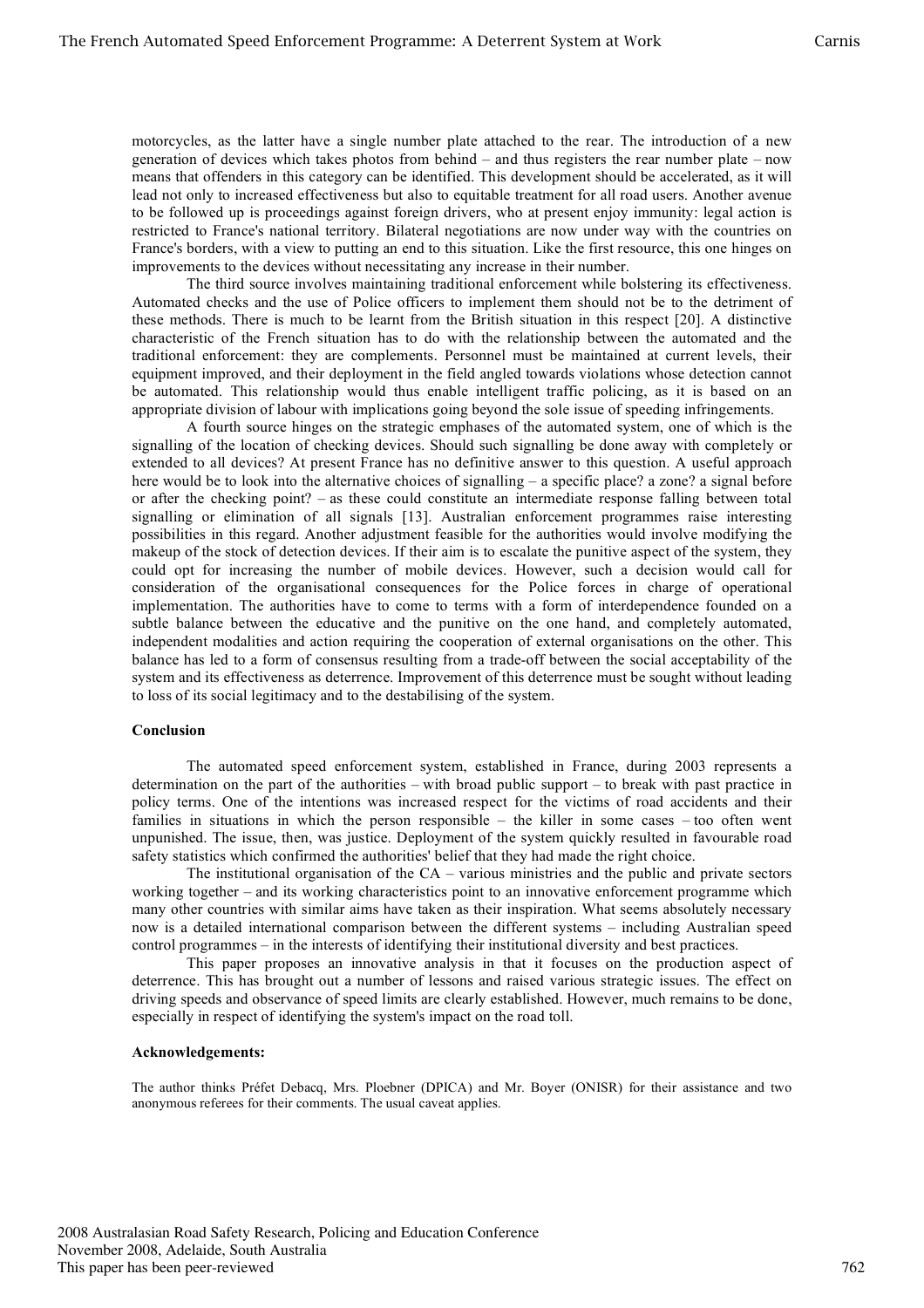motorcycles, as the latter have a single number plate attached to the rear. The introduction of a new generation of devices which takes photos from behind – and thus registers the rear number plate – now means that offenders in this category can be identified. This development should be accelerated, as it will lead not only to increased effectiveness but also to equitable treatment for all road users. Another avenue to be followed up is proceedings against foreign drivers, who at present enjoy immunity: legal action is restricted to France's national territory. Bilateral negotiations are now under way with the countries on France's borders, with a view to putting an end to this situation. Like the first resource, this one hinges on improvements to the devices without necessitating any increase in their number.

The third source involves maintaining traditional enforcement while bolstering its effectiveness. Automated checks and the use of Police officers to implement them should not be to the detriment of these methods. There is much to be learnt from the British situation in this respect [20]. A distinctive characteristic of the French situation has to do with the relationship between the automated and the traditional enforcement: they are complements. Personnel must be maintained at current levels, their equipment improved, and their deployment in the field angled towards violations whose detection cannot be automated. This relationship would thus enable intelligent traffic policing, as it is based on an appropriate division of labour with implications going beyond the sole issue of speeding infringements.

A fourth source hinges on the strategic emphases of the automated system, one of which is the signalling of the location of checking devices. Should such signalling be done away with completely or extended to all devices? At present France has no definitive answer to this question. A useful approach here would be to look into the alternative choices of signalling – a specific place? a zone? a signal before or after the checking point? – as these could constitute an intermediate response falling between total signalling or elimination of all signals [13]. Australian enforcement programmes raise interesting possibilities in this regard. Another adjustment feasible for the authorities would involve modifying the makeup of the stock of detection devices. If their aim is to escalate the punitive aspect of the system, they could opt for increasing the number of mobile devices. However, such a decision would call for consideration of the organisational consequences for the Police forces in charge of operational implementation. The authorities have to come to terms with a form of interdependence founded on a subtle balance between the educative and the punitive on the one hand, and completely automated, independent modalities and action requiring the cooperation of external organisations on the other. This balance has led to a form of consensus resulting from a trade-off between the social acceptability of the system and its effectiveness as deterrence. Improvement of this deterrence must be sought without leading to loss of its social legitimacy and to the destabilising of the system.

#### **Conclusion**

The automated speed enforcement system, established in France, during 2003 represents a determination on the part of the authorities – with broad public support – to break with past practice in policy terms. One of the intentions was increased respect for the victims of road accidents and their families in situations in which the person responsible – the killer in some cases – too often went unpunished. The issue, then, was justice. Deployment of the system quickly resulted in favourable road safety statistics which confirmed the authorities' belief that they had made the right choice.

The institutional organisation of the CA – various ministries and the public and private sectors working together – and its working characteristics point to an innovative enforcement programme which many other countries with similar aims have taken as their inspiration. What seems absolutely necessary now is a detailed international comparison between the different systems – including Australian speed control programmes – in the interests of identifying their institutional diversity and best practices.

This paper proposes an innovative analysis in that it focuses on the production aspect of deterrence. This has brought out a number of lessons and raised various strategic issues. The effect on driving speeds and observance of speed limits are clearly established. However, much remains to be done, especially in respect of identifying the system's impact on the road toll.

### **Acknowledgements:**

The author thinks Préfet Debacq, Mrs. Ploebner (DPICA) and Mr. Boyer (ONISR) for their assistance and two anonymous referees for their comments. The usual caveat applies.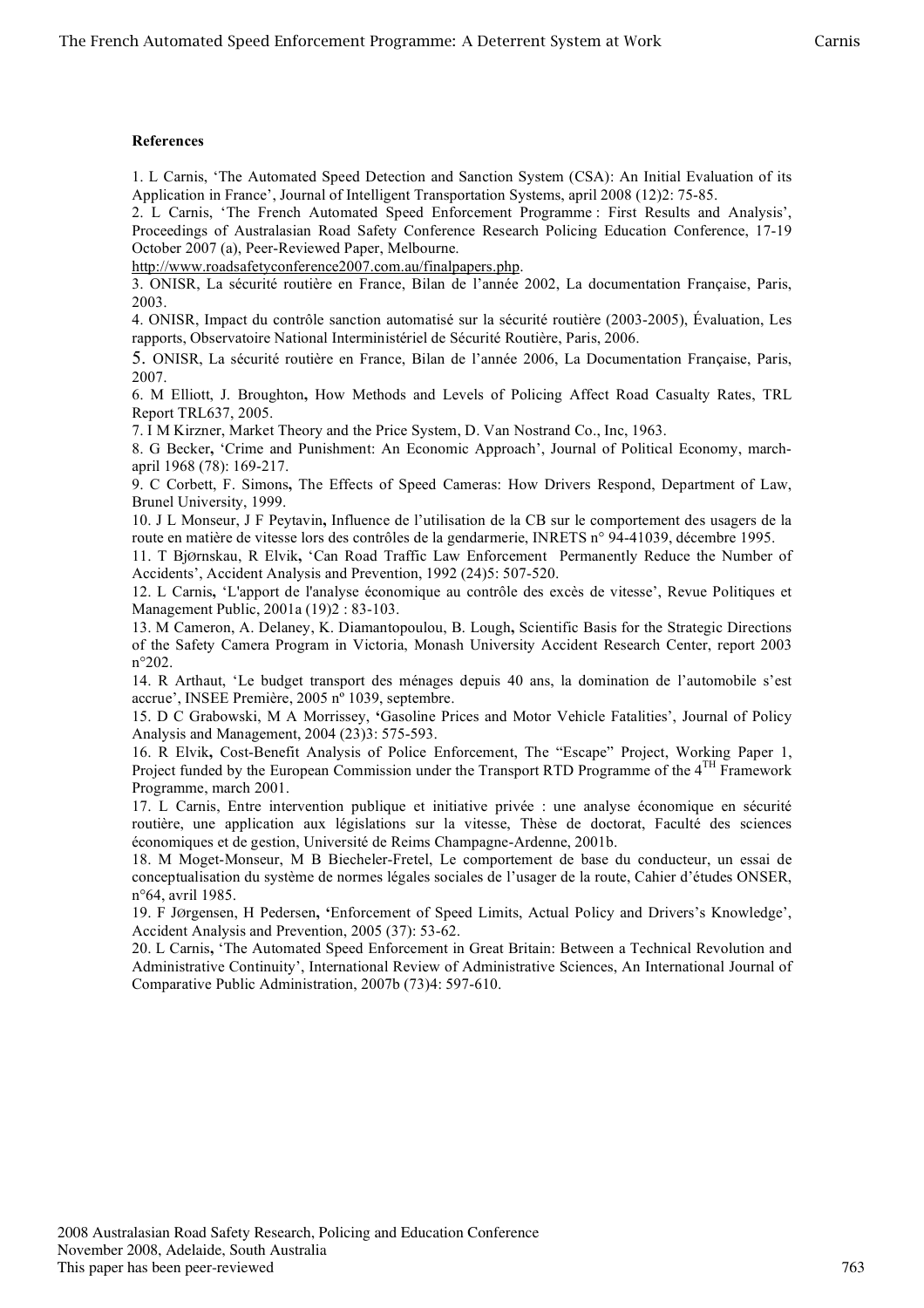# **References**

1. L Carnis, 'The Automated Speed Detection and Sanction System (CSA): An Initial Evaluation of its Application in France', Journal of Intelligent Transportation Systems, april 2008 (12)2: 75-85.

2. L Carnis, 'The French Automated Speed Enforcement Programme : First Results and Analysis', Proceedings of Australasian Road Safety Conference Research Policing Education Conference, 17-19 October 2007 (a), Peer-Reviewed Paper, Melbourne.

http://www.roadsafetyconference2007.com.au/finalpapers.php.

3. ONISR, La sécurité routière en France, Bilan de l'année 2002, La documentation Française, Paris, 2003.

4. ONISR, Impact du contrôle sanction automatisé sur la sécurité routière (2003-2005), Évaluation, Les rapports, Observatoire National Interministériel de Sécurité Routière, Paris, 2006.

5. ONISR, La sécurité routière en France, Bilan de l'année 2006, La Documentation Française, Paris, 2007.

6. M Elliott, J. Broughton**,** How Methods and Levels of Policing Affect Road Casualty Rates, TRL Report TRL637, 2005.

7. I M Kirzner, Market Theory and the Price System, D. Van Nostrand Co., Inc, 1963.

8. G Becker**,** 'Crime and Punishment: An Economic Approach', Journal of Political Economy, marchapril 1968 (78): 169-217.

9. C Corbett, F. Simons**,** The Effects of Speed Cameras: How Drivers Respond, Department of Law, Brunel University, 1999.

10. J L Monseur, J F Peytavin**,** Influence de l'utilisation de la CB sur le comportement des usagers de la route en matière de vitesse lors des contrôles de la gendarmerie, INRETS n° 94-41039, décembre 1995.

11. T BjØrnskau, R Elvik**,** 'Can Road Traffic Law Enforcement Permanently Reduce the Number of Accidents', Accident Analysis and Prevention, 1992 (24)5: 507-520.

12. L Carnis**,** 'L'apport de l'analyse économique au contrôle des excès de vitesse', Revue Politiques et Management Public, 2001a (19)2 : 83-103.

13. M Cameron, A. Delaney, K. Diamantopoulou, B. Lough**,** Scientific Basis for the Strategic Directions of the Safety Camera Program in Victoria, Monash University Accident Research Center, report 2003 n°202.

14. R Arthaut, 'Le budget transport des ménages depuis 40 ans, la domination de l'automobile s'est accrue', INSEE Première, 2005 nº 1039, septembre.

15. D C Grabowski, M A Morrissey, **'**Gasoline Prices and Motor Vehicle Fatalities', Journal of Policy Analysis and Management, 2004 (23)3: 575-593.

16. R Elvik**,** Cost-Benefit Analysis of Police Enforcement, The "Escape" Project, Working Paper 1, Project funded by the European Commission under the Transport RTD Programme of the 4<sup>TH</sup> Framework Programme, march 2001.

17. L Carnis, Entre intervention publique et initiative privée : une analyse économique en sécurité routière, une application aux législations sur la vitesse, Thèse de doctorat, Faculté des sciences économiques et de gestion, Université de Reims Champagne-Ardenne, 2001b.

18. M Moget-Monseur, M B Biecheler-Fretel, Le comportement de base du conducteur, un essai de conceptualisation du système de normes légales sociales de l'usager de la route, Cahier d'études ONSER, n°64, avril 1985.

19. F JØrgensen, H Pedersen**, '**Enforcement of Speed Limits, Actual Policy and Drivers's Knowledge', Accident Analysis and Prevention, 2005 (37): 53-62.

20. L Carnis**,** 'The Automated Speed Enforcement in Great Britain: Between a Technical Revolution and Administrative Continuity', International Review of Administrative Sciences, An International Journal of Comparative Public Administration, 2007b (73)4: 597-610.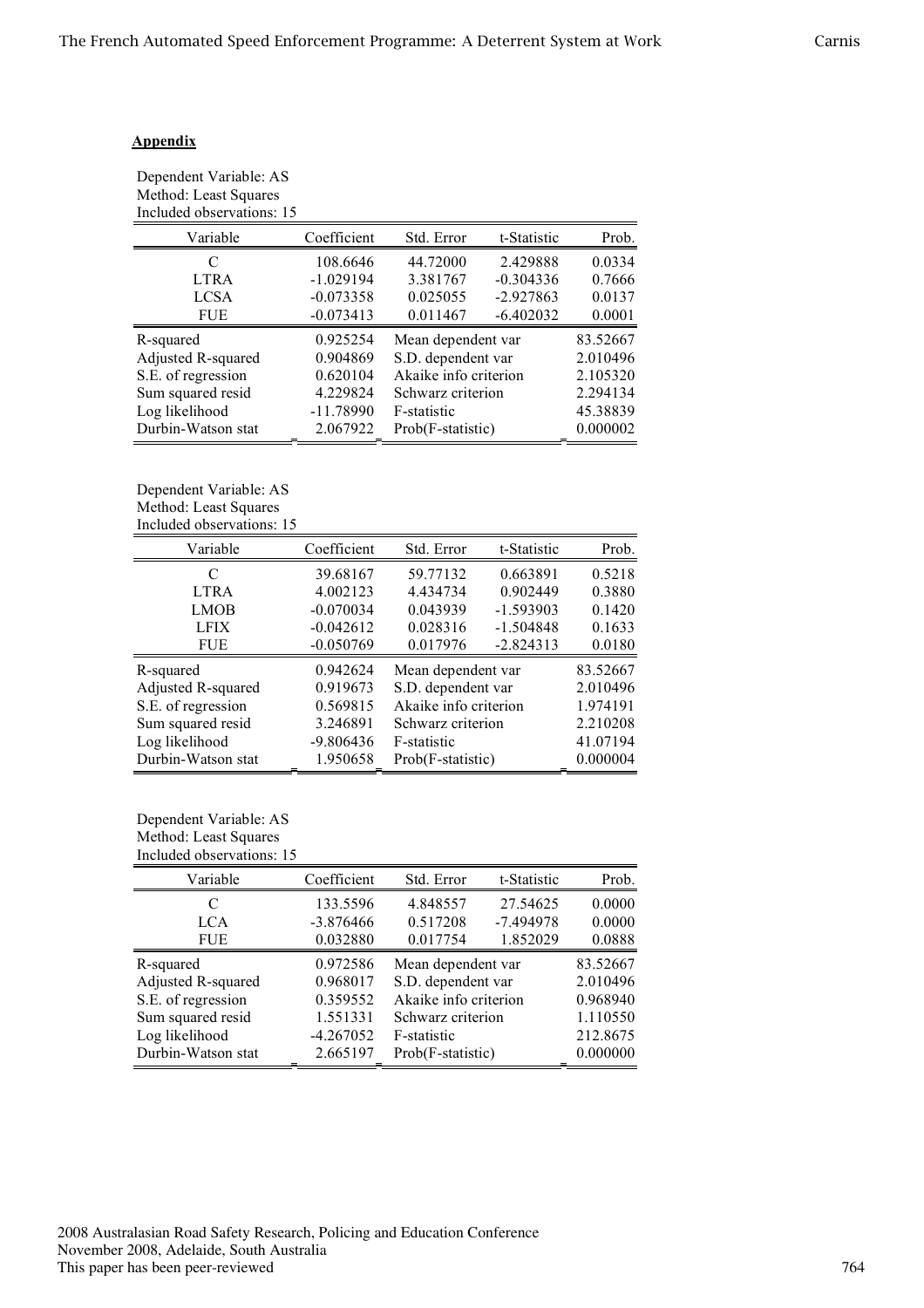# **Appendix**

| Dependent Variable: AS    |  |
|---------------------------|--|
| Method: Least Squares     |  |
| Included observations: 15 |  |

| Variable           | Coefficient | Std. Error            | t-Statistic | Prob.    |
|--------------------|-------------|-----------------------|-------------|----------|
| C                  | 108.6646    | 44.72000              | 2.429888    | 0.0334   |
| <b>LTRA</b>        | $-1.029194$ | 3.381767              | $-0.304336$ | 0.7666   |
| <b>LCSA</b>        | $-0.073358$ | 0.025055              | $-2.927863$ | 0.0137   |
| <b>FUE</b>         | $-0.073413$ | 0.011467              | $-6.402032$ | 0.0001   |
| R-squared          | 0.925254    | Mean dependent var    |             | 83.52667 |
| Adjusted R-squared | 0.904869    | S.D. dependent var    |             | 2.010496 |
| S.E. of regression | 0.620104    | Akaike info criterion |             | 2.105320 |
| Sum squared resid  | 4.229824    | Schwarz criterion     |             | 2.294134 |
| Log likelihood     | $-11.78990$ | F-statistic           |             | 45.38839 |
| Durbin-Watson stat | 2.067922    | Prob(F-statistic)     |             | 0.000002 |
|                    |             |                       |             |          |

Dependent Variable: AS Method: Least Squares Included observations: 15

| Variable           | Coefficient | Std. Error            | t-Statistic | Prob.    |
|--------------------|-------------|-----------------------|-------------|----------|
| C                  | 39.68167    | 59.77132              | 0.663891    | 0.5218   |
| <b>LTRA</b>        | 4.002123    | 4.434734              | 0.902449    | 0.3880   |
| <b>LMOB</b>        | $-0.070034$ | 0.043939              | $-1.593903$ | 0.1420   |
| <b>LFIX</b>        | $-0.042612$ | 0.028316              | $-1.504848$ | 0.1633   |
| <b>FUE</b>         | $-0.050769$ | 0.017976              | $-2.824313$ | 0.0180   |
| R-squared          | 0.942624    | Mean dependent var    |             | 83.52667 |
| Adjusted R-squared | 0.919673    | S.D. dependent var    |             | 2.010496 |
| S.E. of regression | 0.569815    | Akaike info criterion |             | 1.974191 |
| Sum squared resid  | 3.246891    | Schwarz criterion     |             | 2.210208 |
| Log likelihood     | $-9.806436$ | F-statistic           |             | 41.07194 |
| Durbin-Watson stat | 1.950658    | Prob(F-statistic)     |             | 0.000004 |

# Dependent Variable: AS Method: Least Squares Included observations: 15

| Variable           | Coefficient | Std. Error            | t-Statistic | Prob.    |
|--------------------|-------------|-----------------------|-------------|----------|
| C                  | 133.5596    | 4.848557              | 27.54625    | 0.0000   |
| LCA                | $-3.876466$ | 0.517208              | $-7.494978$ | 0.0000   |
| <b>FUE</b>         | 0.032880    | 0.017754              | 1.852029    | 0.0888   |
| R-squared          | 0.972586    | Mean dependent var    |             | 83.52667 |
| Adjusted R-squared | 0.968017    | S.D. dependent var    |             | 2.010496 |
| S.E. of regression | 0.359552    | Akaike info criterion |             | 0.968940 |
| Sum squared resid  | 1.551331    | Schwarz criterion     |             | 1.110550 |
| Log likelihood     | $-4.267052$ | F-statistic           |             | 212.8675 |
| Durbin-Watson stat | 2.665197    | Prob(F-statistic)     |             | 0.000000 |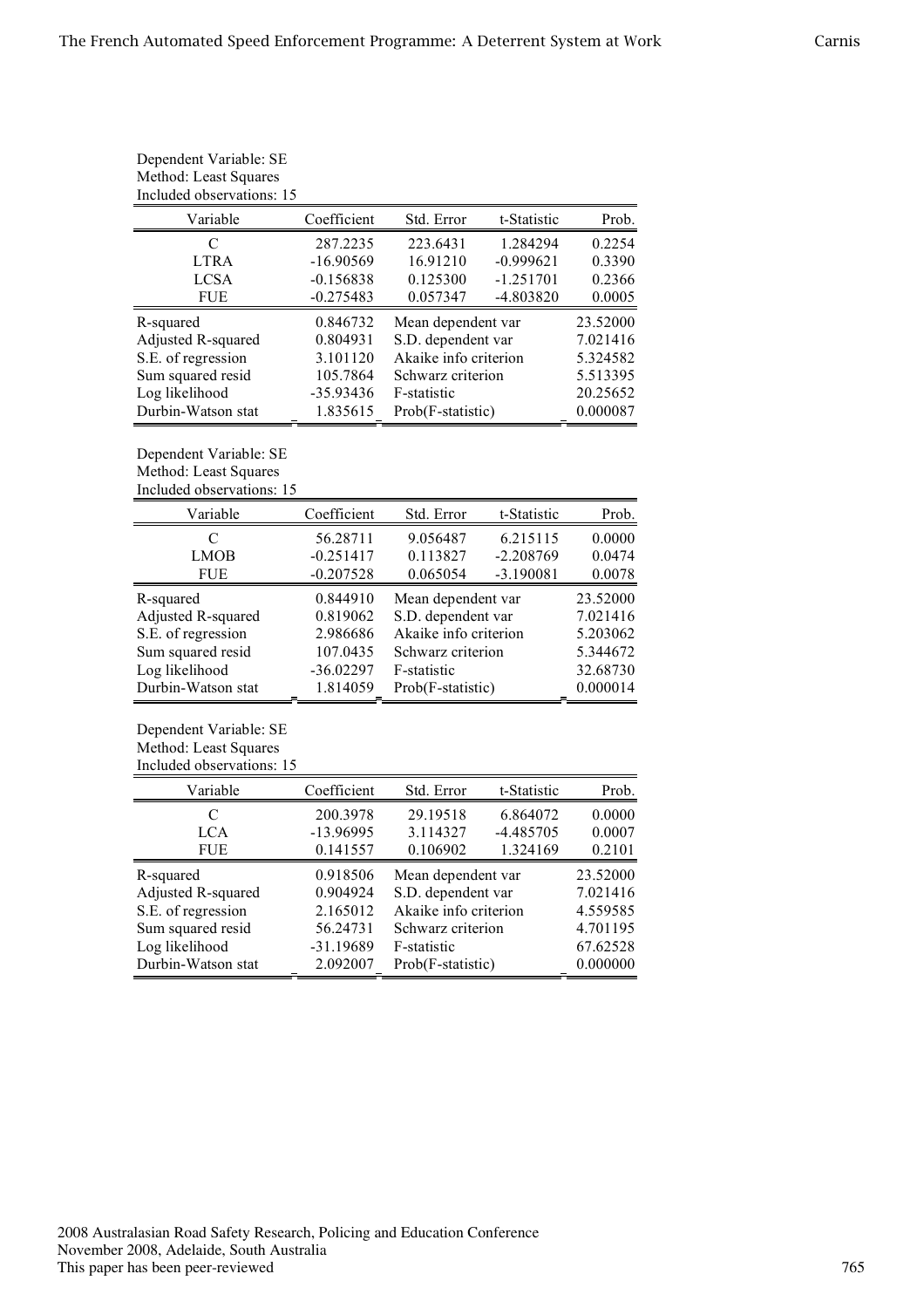| Dependent Variable: SE<br>Method: Least Squares<br>Included observations: 15 |                               |                       |             |          |
|------------------------------------------------------------------------------|-------------------------------|-----------------------|-------------|----------|
| Variable                                                                     | Coefficient                   | Std. Error            | t-Statistic | Prob.    |
| C                                                                            | 287.2235                      | 223.6431              | 1.284294    | 0.2254   |
| <b>LTRA</b>                                                                  | $-16.90569$                   | 16.91210              | $-0.999621$ | 0.3390   |
| <b>LCSA</b>                                                                  | $-0.156838$                   | 0.125300              | $-1.251701$ | 0.2366   |
| <b>FUE</b>                                                                   | $-0.275483$                   | 0.057347              | -4.803820   | 0.0005   |
| R-squared                                                                    | 0.846732                      | Mean dependent var    |             | 23.52000 |
| Adjusted R-squared                                                           | 0.804931                      | S.D. dependent var    |             | 7.021416 |
| S.E. of regression                                                           | 3.101120                      | Akaike info criterion |             | 5.324582 |
| Sum squared resid                                                            | 105.7864<br>Schwarz criterion |                       | 5.513395    |          |
| Log likelihood                                                               | $-35.93436$                   | F-statistic           |             | 20.25652 |
| Durbin-Watson stat                                                           | 1.835615                      | Prob(F-statistic)     |             | 0.000087 |

Dependent Variable: SE

Method: Least Squares Included observations: 15

| Variable           | Coefficient | Std. Error            | t-Statistic | Prob.    |
|--------------------|-------------|-----------------------|-------------|----------|
| C                  | 56.28711    | 9.056487              | 6.215115    | 0.0000   |
| <b>LMOB</b>        | $-0.251417$ | 0.113827              | $-2.208769$ | 0.0474   |
| FUE                | $-0.207528$ | 0.065054              | $-3.190081$ | 0.0078   |
| R-squared          | 0.844910    | Mean dependent var    |             | 23.52000 |
| Adjusted R-squared | 0.819062    | S.D. dependent var    |             | 7.021416 |
| S.E. of regression | 2.986686    | Akaike info criterion |             | 5.203062 |
| Sum squared resid  | 107.0435    | Schwarz criterion     |             | 5.344672 |
| Log likelihood     | $-36.02297$ | F-statistic           |             | 32.68730 |
| Durbin-Watson stat | 1.814059    | Prob(F-statistic)     |             | 0.000014 |

Dependent Variable: SE Method: Least Squares Included observations: 15

| Variable           | Coefficient | Std. Error            | t-Statistic | Prob.    |
|--------------------|-------------|-----------------------|-------------|----------|
| C                  | 200.3978    | 29.19518              | 6.864072    | 0.0000   |
| <b>LCA</b>         | $-13.96995$ | 3.114327              | $-4.485705$ | 0.0007   |
| <b>FUE</b>         | 0.141557    | 0.106902              | 1.324169    | 0.2101   |
| R-squared          | 0.918506    | Mean dependent var    |             | 23.52000 |
| Adjusted R-squared | 0.904924    | S.D. dependent var    |             | 7.021416 |
| S.E. of regression | 2.165012    | Akaike info criterion |             | 4.559585 |
| Sum squared resid  | 56.24731    | Schwarz criterion     |             | 4.701195 |
| Log likelihood     | $-31.19689$ | F-statistic           |             | 67.62528 |
| Durbin-Watson stat | 2.092007    | Prob(F-statistic)     |             | 0.000000 |
|                    |             |                       |             |          |